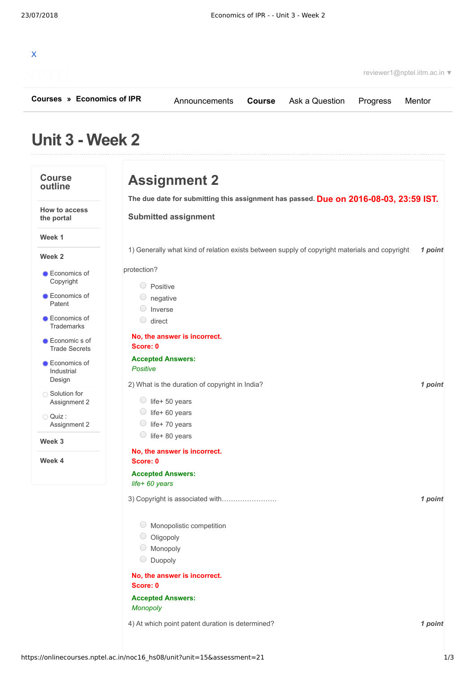| Courses » Economics of IPR | Announcements | <b>Course</b> Ask a Question Progress |                        | Mentor |
|----------------------------|---------------|---------------------------------------|------------------------|--------|
|                            |               |                                       | reviewer1@nptel.iitm.a |        |
|                            |               |                                       |                        |        |

reviewer1@nptel.iitm.ac.in ▼

## **Unit 3 - Week 2**

| <b>Course</b><br>outline                 | <b>Assignment 2</b>                                                                           |         |  |  |  |  |  |
|------------------------------------------|-----------------------------------------------------------------------------------------------|---------|--|--|--|--|--|
|                                          | The due date for submitting this assignment has passed. Due on 2016-08-03, 23:59 IST.         |         |  |  |  |  |  |
| How to access<br>the portal              | <b>Submitted assignment</b>                                                                   |         |  |  |  |  |  |
|                                          |                                                                                               |         |  |  |  |  |  |
| Week 1                                   |                                                                                               |         |  |  |  |  |  |
| Week 2                                   | 1) Generally what kind of relation exists between supply of copyright materials and copyright | 1 point |  |  |  |  |  |
| Economics of                             | protection?                                                                                   |         |  |  |  |  |  |
| Copyright                                | Positive                                                                                      |         |  |  |  |  |  |
| Economics of                             | negative                                                                                      |         |  |  |  |  |  |
| Patent                                   | Inverse                                                                                       |         |  |  |  |  |  |
| <b>Economics of</b><br><b>Trademarks</b> | $\bigcirc$<br>direct                                                                          |         |  |  |  |  |  |
| Economic s of                            | No, the answer is incorrect.                                                                  |         |  |  |  |  |  |
| <b>Trade Secrets</b>                     | Score: 0                                                                                      |         |  |  |  |  |  |
| <b>Economics of</b>                      | <b>Accepted Answers:</b>                                                                      |         |  |  |  |  |  |
| Industrial                               | Positive                                                                                      |         |  |  |  |  |  |
| Design                                   | 2) What is the duration of copyright in India?                                                | 1 point |  |  |  |  |  |
| ◯ Solution for<br>Assignment 2           | $\bigcirc$ life+ 50 years                                                                     |         |  |  |  |  |  |
|                                          | life+ 60 years<br>$\cup$                                                                      |         |  |  |  |  |  |
| O Quiz:<br>Assignment 2                  | life+70 years                                                                                 |         |  |  |  |  |  |
|                                          | life+80 years<br>$\bigcirc$                                                                   |         |  |  |  |  |  |
| Week 3                                   | No, the answer is incorrect.                                                                  |         |  |  |  |  |  |
| Week 4                                   | Score: 0                                                                                      |         |  |  |  |  |  |
|                                          | <b>Accepted Answers:</b>                                                                      |         |  |  |  |  |  |
|                                          | life+ 60 years                                                                                |         |  |  |  |  |  |
|                                          | 3) Copyright is associated with                                                               | 1 point |  |  |  |  |  |
|                                          |                                                                                               |         |  |  |  |  |  |
|                                          | Monopolistic competition                                                                      |         |  |  |  |  |  |
|                                          | Oligopoly                                                                                     |         |  |  |  |  |  |
|                                          | Monopoly                                                                                      |         |  |  |  |  |  |
|                                          | $\bigcirc$<br>Duopoly                                                                         |         |  |  |  |  |  |
|                                          | No, the answer is incorrect.<br>Score: 0                                                      |         |  |  |  |  |  |
|                                          | <b>Accepted Answers:</b><br>Monopoly                                                          |         |  |  |  |  |  |
|                                          |                                                                                               |         |  |  |  |  |  |
|                                          | 4) At which point patent duration is determined?                                              | 1 point |  |  |  |  |  |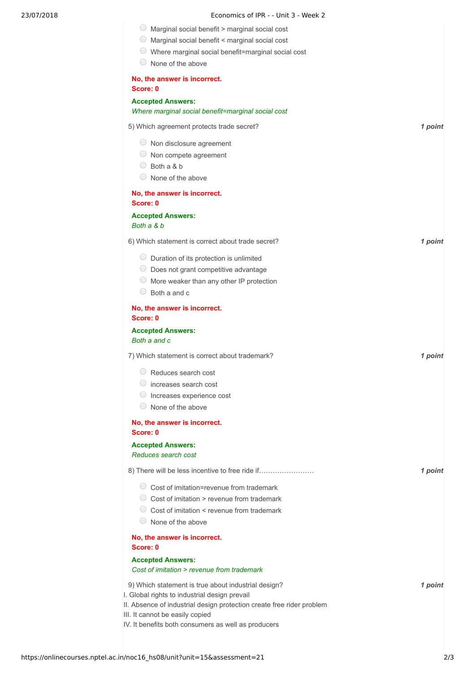|  |  | Economics of IPR - - Unit 3 - Week 2 |  |
|--|--|--------------------------------------|--|
|  |  |                                      |  |

|  |  | Marginal social benefit > marginal social cost |  |
|--|--|------------------------------------------------|--|
|  |  |                                                |  |

- Marginal social benefit < marginal social cost
- Where marginal social benefit=marginal social cost

| None of the above                                                                                                                                                                                                |         |  |
|------------------------------------------------------------------------------------------------------------------------------------------------------------------------------------------------------------------|---------|--|
| No, the answer is incorrect.<br>Score: 0                                                                                                                                                                         |         |  |
| <b>Accepted Answers:</b><br>Where marginal social benefit=marginal social cost                                                                                                                                   |         |  |
| 5) Which agreement protects trade secret?                                                                                                                                                                        | 1 point |  |
| $\circ$ Non disclosure agreement<br>$\cup$<br>Non compete agreement<br>0<br>Both a & b<br>None of the above                                                                                                      |         |  |
| No, the answer is incorrect.<br>Score: 0                                                                                                                                                                         |         |  |
| <b>Accepted Answers:</b><br>Both a & b                                                                                                                                                                           |         |  |
| 6) Which statement is correct about trade secret?                                                                                                                                                                | 1 point |  |
| $\circ$ Duration of its protection is unlimited<br>$\circ$ Does not grant competitive advantage<br>$\cup$<br>More weaker than any other IP protection<br>O<br>Both a and c                                       |         |  |
| No, the answer is incorrect.<br>Score: 0                                                                                                                                                                         |         |  |
| <b>Accepted Answers:</b><br>Both a and c                                                                                                                                                                         |         |  |
| 7) Which statement is correct about trademark?                                                                                                                                                                   | 1 point |  |
| $\bigcirc$<br>Reduces search cost<br>increases search cost<br>Increases experience cost<br>None of the above                                                                                                     |         |  |
| No, the answer is incorrect.<br>Score: 0                                                                                                                                                                         |         |  |
| <b>Accepted Answers:</b><br>Reduces search cost                                                                                                                                                                  |         |  |
| 8) There will be less incentive to free ride if                                                                                                                                                                  | 1 point |  |
| ◯ Cost of imitation=revenue from trademark<br>$\circ$ Cost of imitation > revenue from trademark<br>◯ Cost of imitation < revenue from trademark<br>$\circ$ None of the above                                    |         |  |
| No, the answer is incorrect.<br>Score: 0                                                                                                                                                                         |         |  |
| <b>Accepted Answers:</b>                                                                                                                                                                                         |         |  |
| Cost of imitation > revenue from trademark                                                                                                                                                                       |         |  |
| 9) Which statement is true about industrial design?<br>I. Global rights to industrial design prevail<br>II. Absence of industrial design protection create free rider problem<br>III. It cannot be easily copied | 1 point |  |
| IV. It benefits both consumers as well as producers                                                                                                                                                              |         |  |